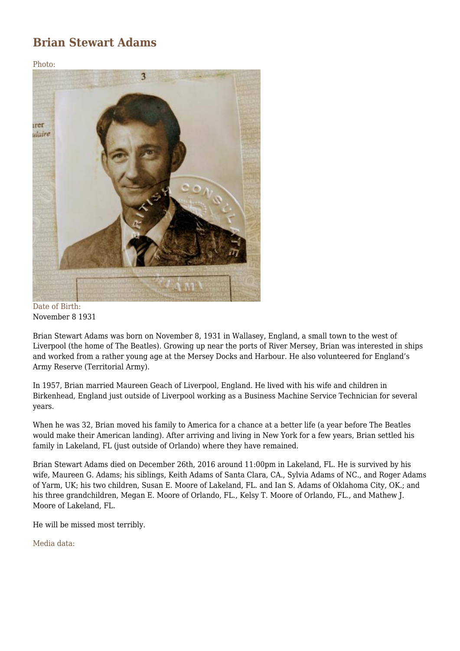## **Brian Stewart Adams**

Photo:



Date of Birth: November 8 1931

Brian Stewart Adams was born on November 8, 1931 in Wallasey, England, a small town to the west of Liverpool (the home of The Beatles). Growing up near the ports of River Mersey, Brian was interested in ships and worked from a rather young age at the Mersey Docks and Harbour. He also volunteered for England's Army Reserve (Territorial Army).

In 1957, Brian married Maureen Geach of Liverpool, England. He lived with his wife and children in Birkenhead, England just outside of Liverpool working as a Business Machine Service Technician for several years.

When he was 32, Brian moved his family to America for a chance at a better life (a year before The Beatles would make their American landing). After arriving and living in New York for a few years, Brian settled his family in Lakeland, FL (just outside of Orlando) where they have remained.

Brian Stewart Adams died on December 26th, 2016 around 11:00pm in Lakeland, FL. He is survived by his wife, Maureen G. Adams; his siblings, Keith Adams of Santa Clara, CA., Sylvia Adams of NC., and Roger Adams of Yarm, UK; his two children, Susan E. Moore of Lakeland, FL. and Ian S. Adams of Oklahoma City, OK.; and his three grandchildren, Megan E. Moore of Orlando, FL., Kelsy T. Moore of Orlando, FL., and Mathew J. Moore of Lakeland, FL.

He will be missed most terribly.

Media data: